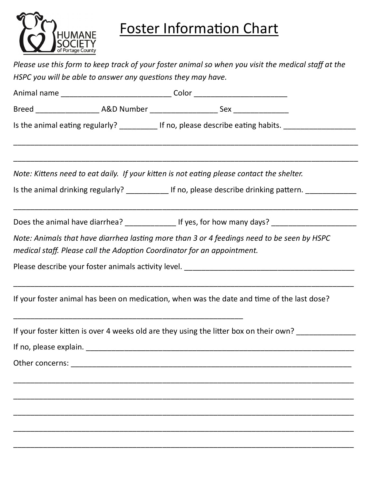

## Foster Information Chart

| Please use this form to keep track of your foster animal so when you visit the medical staff at the<br>HSPC you will be able to answer any questions they may have. |  |                                                                                                                                                                       |  |  |  |  |
|---------------------------------------------------------------------------------------------------------------------------------------------------------------------|--|-----------------------------------------------------------------------------------------------------------------------------------------------------------------------|--|--|--|--|
|                                                                                                                                                                     |  |                                                                                                                                                                       |  |  |  |  |
|                                                                                                                                                                     |  |                                                                                                                                                                       |  |  |  |  |
|                                                                                                                                                                     |  | Is the animal eating regularly? ____________ If no, please describe eating habits. ______________________                                                             |  |  |  |  |
|                                                                                                                                                                     |  | Note: Kittens need to eat daily. If your kitten is not eating please contact the shelter.                                                                             |  |  |  |  |
|                                                                                                                                                                     |  | Is the animal drinking regularly? _____________ If no, please describe drinking pattern. ___________                                                                  |  |  |  |  |
|                                                                                                                                                                     |  | Does the animal have diarrhea? _________________ If yes, for how many days? ________________________                                                                  |  |  |  |  |
|                                                                                                                                                                     |  | Note: Animals that have diarrhea lasting more than 3 or 4 feedings need to be seen by HSPC<br>medical staff. Please call the Adoption Coordinator for an appointment. |  |  |  |  |
|                                                                                                                                                                     |  |                                                                                                                                                                       |  |  |  |  |
|                                                                                                                                                                     |  | If your foster animal has been on medication, when was the date and time of the last dose?                                                                            |  |  |  |  |
|                                                                                                                                                                     |  | If your foster kitten is over 4 weeks old are they using the litter box on their own?                                                                                 |  |  |  |  |
|                                                                                                                                                                     |  |                                                                                                                                                                       |  |  |  |  |
|                                                                                                                                                                     |  |                                                                                                                                                                       |  |  |  |  |
|                                                                                                                                                                     |  |                                                                                                                                                                       |  |  |  |  |
|                                                                                                                                                                     |  |                                                                                                                                                                       |  |  |  |  |
|                                                                                                                                                                     |  |                                                                                                                                                                       |  |  |  |  |
|                                                                                                                                                                     |  |                                                                                                                                                                       |  |  |  |  |

\_\_\_\_\_\_\_\_\_\_\_\_\_\_\_\_\_\_\_\_\_\_\_\_\_\_\_\_\_\_\_\_\_\_\_\_\_\_\_\_\_\_\_\_\_\_\_\_\_\_\_\_\_\_\_\_\_\_\_\_\_\_\_\_\_\_\_\_\_\_\_\_\_\_\_\_\_\_\_\_